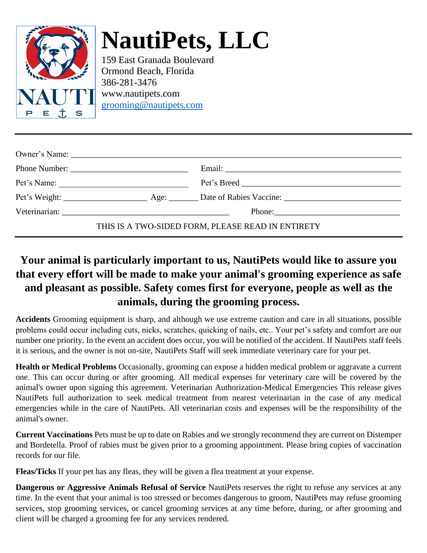

## **NautiPets, LLC**

159 East Granada Boulevard Ormond Beach, Florida 386-281-3476 [www.nautipets.com](http://www.nautipets.co/) [grooming@nautipets.com](mailto:grooming@nautipets.com)

| Pet's Name: |                                                   |
|-------------|---------------------------------------------------|
|             |                                                   |
|             |                                                   |
|             | THIS IS A TWO-SIDED FORM, PLEASE READ IN ENTIRETY |

## **Your animal is particularly important to us, NautiPets would like to assure you that every effort will be made to make your animal's grooming experience as safe and pleasant as possible. Safety comes first for everyone, people as well as the animals, during the grooming process.**

**Accidents** Grooming equipment is sharp, and although we use extreme caution and care in all situations, possible problems could occur including cuts, nicks, scratches, quicking of nails, etc.. Your pet's safety and comfort are our number one priority. In the event an accident does occur, you will be notified of the accident. If NautiPets staff feels it is serious, and the owner is not on-site, NautiPets Staff will seek immediate veterinary care for your pet.

**Health or Medical Problems** Occasionally, grooming can expose a hidden medical problem or aggravate a current one. This can occur during or after grooming. All medical expenses for veterinary care will be covered by the animal's owner upon signing this agreement. Veterinarian Authorization-Medical Emergencies This release gives NautiPets full authorization to seek medical treatment from nearest veterinarian in the case of any medical emergencies while in the care of NautiPets. All veterinarian costs and expenses will be the responsibility of the animal's owner.

**Current Vaccinations** Pets must be up to date on Rabies and we strongly recommend they are current on Distemper and Bordetella. Proof of rabies must be given prior to a grooming appointment. Please bring copies of vaccination records for our file.

**Fleas/Ticks** If your pet has any fleas, they will be given a flea treatment at your expense.

**Dangerous or Aggressive Animals Refusal of Service** NautiPets reserves the right to refuse any services at any time. In the event that your animal is too stressed or becomes dangerous to groom, NautiPets may refuse grooming services, stop grooming services, or cancel grooming services at any time before, during, or after grooming and client will be charged a grooming fee for any services rendered.